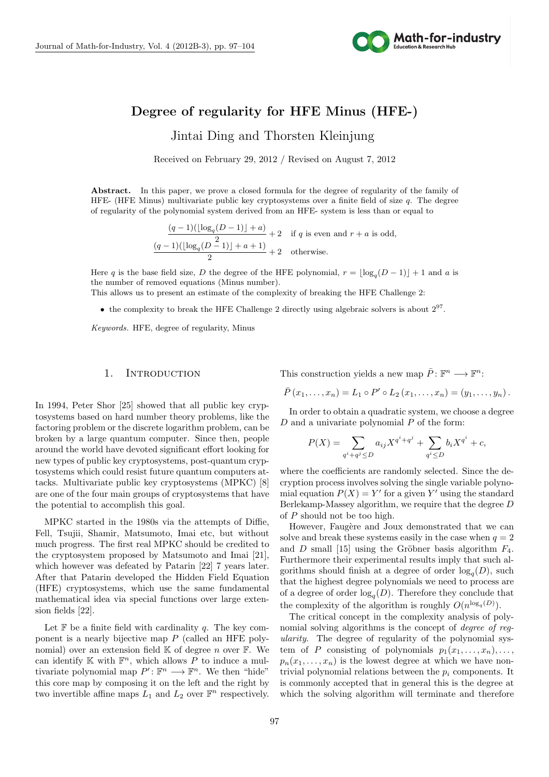

# **Degree of regularity for HFE Minus (HFE-)**

n jung en de kommen en de kommen van de kommen van de kommen van de kommen van de kommen van de kommen van de Jintai Ding and Thorsten Kleinjung

Received on February 29, 2012 / Revised on August 7, 2012

Abstract. In this paper, we prove a closed formula for the degree of regularity of the family of HFE- (HFE Minus) multivariate public key cryptosystems over a finite field of size *q*. The degree of regularity of the polynomial system derived from an HFE- system is less than or equal to

> $(q-1)(\lfloor \log_q(D-1) \rfloor + a)$  $\frac{1}{2}$   $\frac{1}{2}$  if *q* is even and *r* + *a* is odd,  $(q-1)(\lfloor \log_q(D-1) \rfloor + a + 1)$  $\frac{2}{2}$  + 2 otherwise.

Here *q* is the base field size, *D* the degree of the HFE polynomial,  $r = \lfloor \log_q(D-1) \rfloor + 1$  and *a* is the number of removed equations (Minus number).

This allows us to present an estimate of the complexity of breaking the HFE Challenge 2:

• the complexity to break the HFE Challenge 2 directly using algebraic solvers is about  $2^{97}$ .

*Keywords.* HFE, degree of regularity, Minus

# 1. INTRODUCTION

In 1994, Peter Shor [25] showed that all public key cryptosystems based on hard number theory problems, like the factoring problem or the discrete logarithm problem, can be broken by a large quantum computer. Since then, people around the world have devoted significant effort looking for new types of public key cryptosystems, post-quantum cryptosystems which could resist future quantum computers attacks. Multivariate public key cryptosystems (MPKC) [8] are one of the four main groups of cryptosystems that have the potential to accomplish this goal.

MPKC started in the 1980s via the attempts of Diffie, Fell, Tsujii, Shamir, Matsumoto, Imai etc, but without much progress. The first real MPKC should be credited to the cryptosystem proposed by Matsumoto and Imai [21], which however was defeated by Patarin [22] 7 years later. After that Patarin developed the Hidden Field Equation (HFE) cryptosystems, which use the same fundamental mathematical idea via special functions over large extension fields [22].

Let  $\mathbb F$  be a finite field with cardinality *q*. The key component is a nearly bijective map *P* (called an HFE polynomial) over an extension field K of degree *n* over F. We can identify  $K$  with  $\mathbb{F}^n$ , which allows P to induce a multivariate polynomial map  $P' : \mathbb{F}^n \longrightarrow \mathbb{F}^n$ . We then "hide" this core map by composing it on the left and the right by two invertible affine maps  $L_1$  and  $L_2$  over  $\mathbb{F}^n$  respectively.

This construction yields a new map  $\overline{P}$ :  $\mathbb{F}^n \longrightarrow \mathbb{F}^n$ :

$$
\bar{P}(x_1,...,x_n) = L_1 \circ P' \circ L_2(x_1,...,x_n) = (y_1,...,y_n).
$$

In order to obtain a quadratic system, we choose a degree *D* and a univariate polynomial *P* of the form:

$$
P(X) = \sum_{q^{i}+q^{j} \leq D} a_{ij} X^{q^{i}+q^{j}} + \sum_{q^{i} \leq D} b_{i} X^{q^{i}} + c,
$$

where the coefficients are randomly selected. Since the decryption process involves solving the single variable polynomial equation  $P(X) = Y'$  for a given Y' using the standard Berlekamp-Massey algorithm, we require that the degree *D* of *P* should not be too high.

However, Faugère and Joux demonstrated that we can solve and break these systems easily in the case when  $q = 2$ and *D* small [15] using the Gröbner basis algorithm  $F_4$ . Furthermore their experimental results imply that such algorithms should finish at a degree of order  $log_q(D)$ , such that the highest degree polynomials we need to process are of a degree of order  $log_q(D)$ . Therefore they conclude that the complexity of the algorithm is roughly  $O(n^{\log_q(D)})$ .

The critical concept in the complexity analysis of polynomial solving algorithms is the concept of *degree of regularity*. The degree of regularity of the polynomial system of *P* consisting of polynomials  $p_1(x_1, \ldots, x_n), \ldots$  $p_n(x_1, \ldots, x_n)$  is the lowest degree at which we have nontrivial polynomial relations between the  $p_i$  components. It is commonly accepted that in general this is the degree at which the solving algorithm will terminate and therefore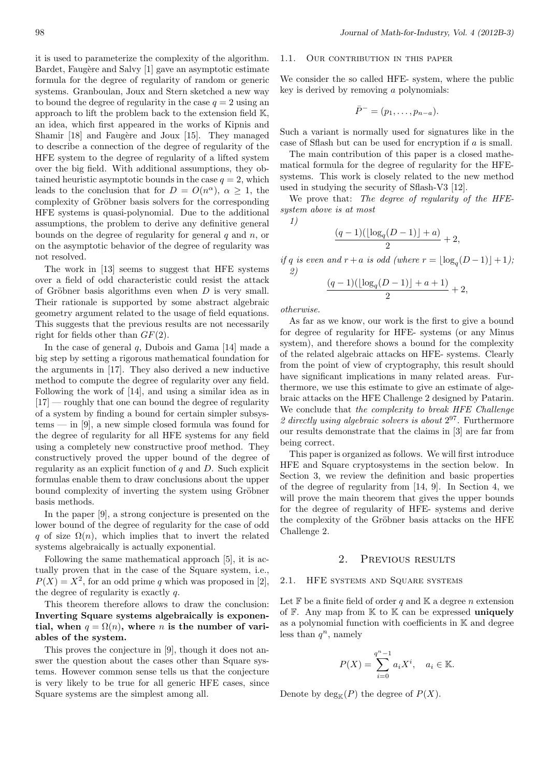it is used to parameterize the complexity of the algorithm. Bardet, Faugère and Salvy [1] gave an asymptotic estimate formula for the degree of regularity of random or generic systems. Granboulan, Joux and Stern sketched a new way to bound the degree of regularity in the case  $q = 2$  using an approach to lift the problem back to the extension field K, an idea, which first appeared in the works of Kipnis and Shamir [18] and Faugère and Joux [15]. They managed to describe a connection of the degree of regularity of the HFE system to the degree of regularity of a lifted system over the big field. With additional assumptions, they obtained heuristic asymptotic bounds in the case  $q = 2$ , which leads to the conclusion that for  $D = O(n^{\alpha})$ ,  $\alpha \geq 1$ , the complexity of Gröbner basis solvers for the corresponding HFE systems is quasi-polynomial. Due to the additional assumptions, the problem to derive any definitive general bounds on the degree of regularity for general *q* and *n*, or on the asymptotic behavior of the degree of regularity was not resolved.

The work in [13] seems to suggest that HFE systems over a field of odd characteristic could resist the attack of Gröbner basis algorithms even when  $D$  is very small. Their rationale is supported by some abstract algebraic geometry argument related to the usage of field equations. This suggests that the previous results are not necessarily right for fields other than *GF*(2).

In the case of general *q*, Dubois and Gama [14] made a big step by setting a rigorous mathematical foundation for the arguments in [17]. They also derived a new inductive method to compute the degree of regularity over any field. Following the work of [14], and using a similar idea as in [17] — roughly that one can bound the degree of regularity of a system by finding a bound for certain simpler subsys $tems - in [9]$ , a new simple closed formula was found for the degree of regularity for all HFE systems for any field using a completely new constructive proof method. They constructively proved the upper bound of the degree of regularity as an explicit function of *q* and *D*. Such explicit formulas enable them to draw conclusions about the upper bound complexity of inverting the system using Gröbner basis methods.

In the paper [9], a strong conjecture is presented on the lower bound of the degree of regularity for the case of odd *q* of size  $\Omega(n)$ , which implies that to invert the related systems algebraically is actually exponential.

Following the same mathematical approach [5], it is actually proven that in the case of the Square system, i.e.,  $P(X) = X^2$ , for an odd prime *q* which was proposed in [2], the degree of regularity is exactly *q*.

This theorem therefore allows to draw the conclusion: **Inverting Square systems algebraically is exponen**tial, when  $q = \Omega(n)$ , where *n* is the number of vari**ables of the system.**

This proves the conjecture in [9], though it does not answer the question about the cases other than Square systems. However common sense tells us that the conjecture is very likely to be true for all generic HFE cases, since Square systems are the simplest among all.

### 98 *Journal of Math-for-Industry, Vol. 4 (2012B-3)*

# 1.1. OUR CONTRIBUTION IN THIS PAPER

We consider the so called HFE- system, where the public key is derived by removing *a* polynomials:

$$
\bar{P}^- = (p_1, \ldots, p_{n-a}).
$$

Such a variant is normally used for signatures like in the case of Sflash but can be used for encryption if *a* is small.

The main contribution of this paper is a closed mathematical formula for the degree of regularity for the HFEsystems. This work is closely related to the new method used in studying the security of Sflash-V3 [12].

We prove that: *The degree of regularity of the HFEsystem above is at most 1)*

$$
\frac{(q-1)(\lfloor \log_q(D-1)\rfloor +a)}{2} +
$$

*if q is even and*  $r + a$  *is odd (where*  $r = \lfloor \log_q(D-1) \rfloor + 1$ *)*;

+ 2*,*

$$
\frac{(q-1)(\lfloor \log_q(D-1)\rfloor+a+1)}{2}+2,
$$

*otherwise.*

*2)*

As far as we know, our work is the first to give a bound for degree of regularity for HFE- systems (or any Minus system), and therefore shows a bound for the complexity of the related algebraic attacks on HFE- systems. Clearly from the point of view of cryptography, this result should have significant implications in many related areas. Furthermore, we use this estimate to give an estimate of algebraic attacks on the HFE Challenge 2 designed by Patarin. We conclude that *the complexity to break HFE Challenge 2 directly using algebraic solvers is about* 2 <sup>97</sup>. Furthermore our results demonstrate that the claims in [3] are far from being correct.

This paper is organized as follows. We will first introduce HFE and Square cryptosystems in the section below. In Section 3, we review the definition and basic properties of the degree of regularity from [14, 9]. In Section 4, we will prove the main theorem that gives the upper bounds for the degree of regularity of HFE- systems and derive the complexity of the Gröbner basis attacks on the HFE Challenge 2.

#### 2. PREVIOUS RESULTS

#### 2.1. HFE systems and Square systems

Let  $\mathbb F$  be a finite field of order  $q$  and  $\mathbb K$  a degree  $n$  extension of F. Any map from K to K can be expressed **uniquely** as a polynomial function with coefficients in K and degree less than  $q^n$ , namely

$$
P(X) = \sum_{i=0}^{q^{n}-1} a_i X^i, \quad a_i \in \mathbb{K}.
$$

Denote by  $deg_{\mathbb{K}}(P)$  the degree of  $P(X)$ .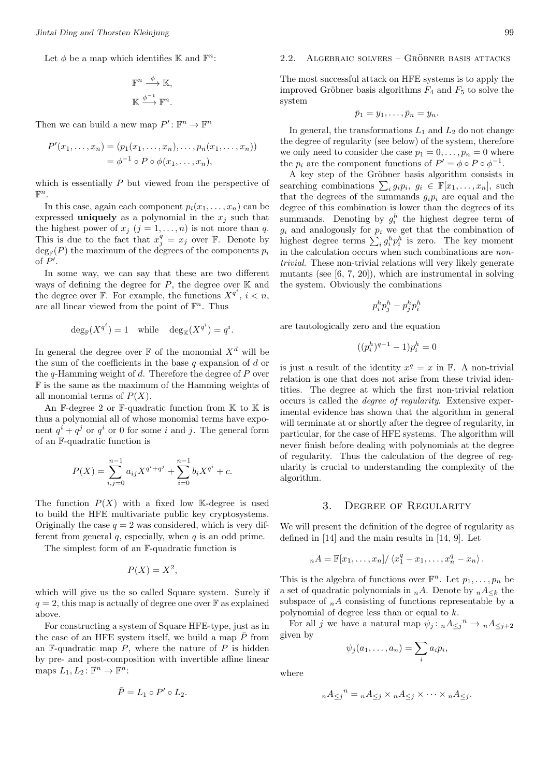Let  $\phi$  be a map which identifies K and  $\mathbb{F}^n$ :

$$
\begin{aligned} &\mathbb{F}^n\overset{\phi}{\longrightarrow}\mathbb{K},\\ &\mathbb{K}\overset{\phi^{-1}}{\longrightarrow}\mathbb{F}^n. \end{aligned}
$$

Then we can build a new map  $P' : \mathbb{F}^n \to \mathbb{F}^n$ 

$$
P'(x_1,...,x_n) = (p_1(x_1,...,x_n),...,p_n(x_1,...,x_n))
$$
  
=  $\phi^{-1} \circ P \circ \phi(x_1,...,x_n),$ 

which is essentially *P* but viewed from the perspective of  $\mathbb{F}^n$ .

In this case, again each component  $p_i(x_1, \ldots, x_n)$  can be expressed **uniquely** as a polynomial in the  $x_j$  such that the highest power of  $x_j$  ( $j = 1, ..., n$ ) is not more than  $q$ . This is due to the fact that  $x_j^q = x_j$  over F. Denote by  $\deg_{\mathbb{F}}(P)$  the maximum of the degrees of the components  $p_i$ of *P ′* .

In some way, we can say that these are two different ways of defining the degree for  $P$ , the degree over  $K$  and the degree over  $\mathbb{F}$ . For example, the functions  $X^{q^i}$ ,  $i < n$ , are all linear viewed from the point of  $\mathbb{F}^n$ . Thus

$$
\deg_{\mathbb{F}}(X^{q^i}) = 1 \quad \text{while} \quad \deg_{\mathbb{K}}(X^{q^i}) = q^i.
$$

In general the degree over  $\mathbb F$  of the monomial  $X^d$  will be the sum of the coefficients in the base *q* expansion of *d* or the *q*-Hamming weight of *d*. Therefore the degree of *P* over F is the same as the maximum of the Hamming weights of all monomial terms of *P*(*X*).

An F-degree 2 or F-quadratic function from  $K$  to  $K$  is thus a polynomial all of whose monomial terms have exponent  $q^{i} + q^{j}$  or  $q^{i}$  or 0 for some *i* and *j*. The general form of an F-quadratic function is

$$
P(X) = \sum_{i,j=0}^{n-1} a_{ij} X^{q^i + q^j} + \sum_{i=0}^{n-1} b_i X^{q^i} + c.
$$

The function  $P(X)$  with a fixed low K-degree is used to build the HFE multivariate public key cryptosystems. Originally the case  $q = 2$  was considered, which is very different from general *q*, especially, when *q* is an odd prime.

The simplest form of an F-quadratic function is

$$
P(X) = X^2,
$$

which will give us the so called Square system. Surely if  $q = 2$ , this map is actually of degree one over  $\mathbb{F}$  as explained above.

For constructing a system of Square HFE-type, just as in the case of an HFE system itself, we build a map  $\overline{P}$  from an  $\mathbb{F}\text{-}\text{quadratic map }P$ , where the nature of  $P$  is hidden by pre- and post-composition with invertible affine linear maps  $L_1, L_2 \colon \mathbb{F}^n \to \mathbb{F}^n$ :

$$
\bar{P}=L_1\circ P'\circ L_2.
$$

# $2.2.$  ALGEBRAIC SOLVERS – GRÖBNER BASIS ATTACKS

The most successful attack on HFE systems is to apply the improved Gröbner basis algorithms  $F_4$  and  $F_5$  to solve the system

$$
\bar{p}_1=y_1,\ldots,\bar{p}_n=y_n.
$$

In general, the transformations  $L_1$  and  $L_2$  do not change the degree of regularity (see below) of the system, therefore we only need to consider the case  $p_1 = 0, \ldots, p_n = 0$  where the  $p_i$  are the component functions of  $P' = \phi \circ P \circ \phi^{-1}$ .

A key step of the Gröbner basis algorithm consists in searching combinations  $\sum_i g_i p_i, g_i \in \mathbb{F}[x_1, \ldots, x_n],$  such that the degrees of the summands  $g_i p_i$  are equal and the degree of this combination is lower than the degrees of its summands. Denoting by  $g_i^h$  the highest degree term of  $g_i$  and analogously for  $p_i$  we get that the combination of highest degree terms  $\sum_i g_i^h p_i^h$  is zero. The key moment in the calculation occurs when such combinations are *nontrivial*. These non-trivial relations will very likely generate mutants (see [6, 7, 20]), which are instrumental in solving the system. Obviously the combinations

$$
p_i^h p_j^h - p_j^h p_i^h \notag \\
$$

are tautologically zero and the equation

$$
((p_i^h)^{q-1} - 1)p_i^h = 0
$$

is just a result of the identity  $x^q = x$  in  $\mathbb{F}$ . A non-trivial relation is one that does not arise from these trivial identities. The degree at which the first non-trivial relation occurs is called the *degree of regularity*. Extensive experimental evidence has shown that the algorithm in general will terminate at or shortly after the degree of regularity, in particular, for the case of HFE systems. The algorithm will never finish before dealing with polynomials at the degree of regularity. Thus the calculation of the degree of regularity is crucial to understanding the complexity of the algorithm.

#### 3. Degree of Regularity

We will present the definition of the degree of regularity as defined in [14] and the main results in [14, 9]. Let

$$
{}_{n}A = \mathbb{F}[x_1,\ldots,x_n]/\left\langle x_1^q - x_1,\ldots,x_n^q - x_n\right\rangle.
$$

This is the algebra of functions over  $\mathbb{F}^n$ . Let  $p_1, \ldots, p_n$  be a set of quadratic polynomials in  $_nA$ . Denote by  $_nA_{\leq k}$  the subspace of  $_nA$  consisting of functions representable by a polynomial of degree less than or equal to *k*.

For all *j* we have a natural map  $\psi_j: nA \leq j^n \to nA \leq j+2$ given by

$$
\psi_j(a_1,\ldots,a_n)=\sum_i a_i p_i,
$$

where

$$
{}_{n}A_{\leq j}{}^{n} = {}_{n}A_{\leq j} \times {}_{n}A_{\leq j} \times \cdots \times {}_{n}A_{\leq j}.
$$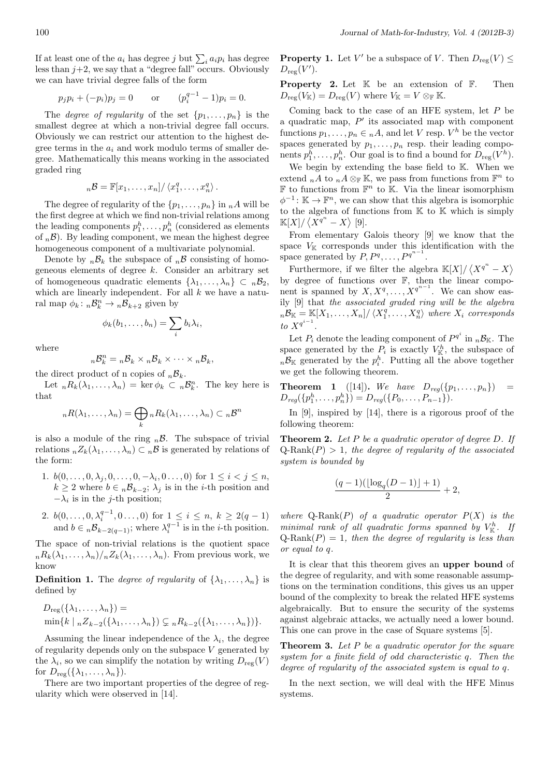If at least one of the  $a_i$  has degree *j* but  $\sum_i a_i p_i$  has degree less than  $j+2$ , we say that a "degree fall" occurs. Obviously we can have trivial degree falls of the form

$$
p_j p_i + (-p_i)p_j = 0
$$
 or  $(p_i^{q-1} - 1)p_i = 0.$ 

The *degree of regularity* of the set  $\{p_1, \ldots, p_n\}$  is the smallest degree at which a non-trivial degree fall occurs. Obviously we can restrict our attention to the highest degree terms in the *a<sup>i</sup>* and work modulo terms of smaller degree. Mathematically this means working in the associated graded ring

$$
{}_{n}\mathcal{B} = \mathbb{F}[x_1,\ldots,x_n]/\left\langle x_1^q,\ldots,x_n^q\right\rangle.
$$

The degree of regularity of the  $\{p_1, \ldots, p_n\}$  in  $_nA$  will be the first degree at which we find non-trivial relations among the leading components  $p_1^h, \ldots, p_n^h$  (considered as elements of  $n\mathcal{B}$ ). By leading component, we mean the highest degree homogeneous component of a multivariate polynomial.

Denote by  $n\mathcal{B}_k$  the subspace of  $n\mathcal{B}$  consisting of homogeneous elements of degree *k*. Consider an arbitrary set of homogeneous quadratic elements  $\{\lambda_1, \ldots, \lambda_n\} \subset B_2$ , which are linearly independent. For all *k* we have a natural map  $\phi_k: n\mathcal{B}_k^n \to n\mathcal{B}_{k+2}$  given by

$$
\phi_k(b_1,\ldots,b_n)=\sum_i b_i\lambda_i,
$$

where

$$
{}_{n}\mathcal{B}_{k}^{n}={}_{n}\mathcal{B}_{k}\times {}_{n}\mathcal{B}_{k}\times\cdots\times {}_{n}\mathcal{B}_{k},
$$

the direct product of n copies of  ${}_{n}B_{k}$ .

Let  ${}_{n}R_{k}(\lambda_{1},\ldots,\lambda_{n}) = \ker \phi_{k} \subset {}_{n}\mathcal{B}_{k}^{n}$ . The key here is that

$$
{}_{n}R(\lambda_1,\ldots,\lambda_n)=\bigoplus_{k}{}_{n}R_k(\lambda_1,\ldots,\lambda_n)\subset {}_{n}\mathcal{B}^n
$$

is also a module of the ring  $n\beta$ . The subspace of trivial relations  ${}_{n}Z_{k}(\lambda_{1},\ldots,\lambda_{n})\subset {}_{n}\mathcal{B}$  is generated by relations of the form:

- 1.  $b(0, \ldots, 0, \lambda_j, 0, \ldots, 0, -\lambda_i, 0, \ldots, 0)$  for  $1 \leq i < j \leq n$ ,  $k \geq 2$  where  $b \in n\mathcal{B}_{k-2}$ ;  $\lambda_j$  is in the *i*-th position and  $-\lambda_i$  is in the *j*-th position;
- 2.  $b(0, \ldots, 0, \lambda_i^{q-1}, 0 \ldots, 0)$  for  $1 \leq i \leq n, k \geq 2(q-1)$ and  $b \in {}_n\mathcal{B}_{k-2(q-1)}$ ; where  $\lambda_i^{q-1}$  is in the *i*-th position.

The space of non-trivial relations is the quotient space  $nR_k(\lambda_1,\ldots,\lambda_n)/nZ_k(\lambda_1,\ldots,\lambda_n)$ . From previous work, we know

**Definition 1.** The *degree of regularity* of  $\{\lambda_1, \ldots, \lambda_n\}$  is defined by

$$
D_{reg}(\{\lambda_1,\ldots,\lambda_n\}) =
$$
  
min{ $k | n Z_{k-2}(\{\lambda_1,\ldots,\lambda_n\}) \subsetneq n R_{k-2}(\{\lambda_1,\ldots,\lambda_n\})\}.$ 

Assuming the linear independence of the  $\lambda_i$ , the degree of regularity depends only on the subspace *V* generated by the  $\lambda_i$ , so we can simplify the notation by writing  $D_{reg}(V)$ for  $D_{\text{res}}(\{\lambda_1,\ldots,\lambda_n\})$ .

There are two important properties of the degree of regularity which were observed in [14].

**Property 1.** Let *V'* be a subspace of *V*. Then  $D_{reg}(V) \leq$  $D_{\text{reg}}(V').$ 

**Property 2.** Let  $K$  be an extension of  $F$ . Then  $D_{\text{reg}}(V_{\mathbb{K}}) = D_{\text{reg}}(V)$  where  $V_{\mathbb{K}} = V \otimes_{\mathbb{F}} \mathbb{K}$ .

Coming back to the case of an HFE system, let *P* be a quadratic map, *P ′* its associated map with component functions  $p_1, \ldots, p_n \in {}_nA$ , and let *V* resp.  $V^h$  be the vector spaces generated by  $p_1, \ldots, p_n$  resp. their leading components  $p_1^h, \ldots, p_n^h$ . Our goal is to find a bound for  $D_{reg}(V^h)$ .

We begin by extending the base field to K. When we extend  $_nA$  to  $_nA \otimes_{\mathbb{F}} \mathbb{K}$ , we pass from functions from  $\mathbb{F}^n$  to  $\mathbb F$  to functions from  $\mathbb F^n$  to K. Via the linear isomorphism  $\phi^{-1}$ : **K** → **F**<sup>*n*</sup>, we can show that this algebra is isomorphic to the algebra of functions from K to K which is simply  $\mathbb{K}[X]/\left\langle X^{q^n}-X\right\rangle [9].$ 

From elementary Galois theory [9] we know that the space  $V_{\mathbb{K}}$  corresponds under this identification with the space generated by  $P, P^q, \ldots, P^{q^{n-1}}$ .

Furthermore, if we filter the algebra  $\mathbb{K}[X]/\langle X^{q^n} - X \rangle$ by degree of functions over F, then the linear component is spanned by  $X, X^q, \ldots, X^{q^{n-1}}$ . We can show easily [9] that *the associated graded ring will be the algebra*  $n\mathcal{B}_\mathbb{K} = \mathbb{K}[X_1,\ldots,X_n]/\langle X_1^q,\ldots,X_n^q\rangle$  where  $X_i$  corresponds *to*  $X^{q^{i-1}}$ .

Let  $P_i$  denote the leading component of  $P^{q^i}$  in  $_n\mathcal{B}_{\mathbb{K}}$ . The space generated by the  $P_i$  is exactly  $V^h_{\mathbb{K}}$ , the subspace of  $n\mathcal{B}_{\mathbb{K}}$  generated by the  $p_i^h$ . Putting all the above together we get the following theorem.

**Theorem 1** ([14]). We have  $D_{req}(\{p_1, ..., p_n\})$  =  $D_{reg}(\{p_1^h, \ldots, p_n^h\}) = D_{reg}(\{P_0, \ldots, P_{n-1}\}).$ 

In [9], inspired by [14], there is a rigorous proof of the following theorem:

**Theorem 2.** *Let P be a quadratic operator of degree D. If*  $Q$ -Rank $(P) > 1$ *, the degree of regularity of the associated system is bounded by*

$$
\frac{(q-1)(\lfloor \log_q(D-1) \rfloor +1)}{2}+2,
$$

*where*  $Q$ -Rank $(P)$  *of a quadratic operator*  $P(X)$  *is the minimal rank of all quadratic forms spanned by*  $V_{\mathbb{K}}^h$ . If  $Q$ -Rank $(P) = 1$ *, then the degree of regularity is less than or equal to q.*

It is clear that this theorem gives an **upper bound** of the degree of regularity, and with some reasonable assumptions on the termination conditions, this gives us an upper bound of the complexity to break the related HFE systems algebraically. But to ensure the security of the systems against algebraic attacks, we actually need a lower bound. This one can prove in the case of Square systems [5].

**Theorem 3.** *Let P be a quadratic operator for the square system for a finite field of odd characteristic q. Then the degree of regularity of the associated system is equal to q.*

In the next section, we will deal with the HFE Minus systems.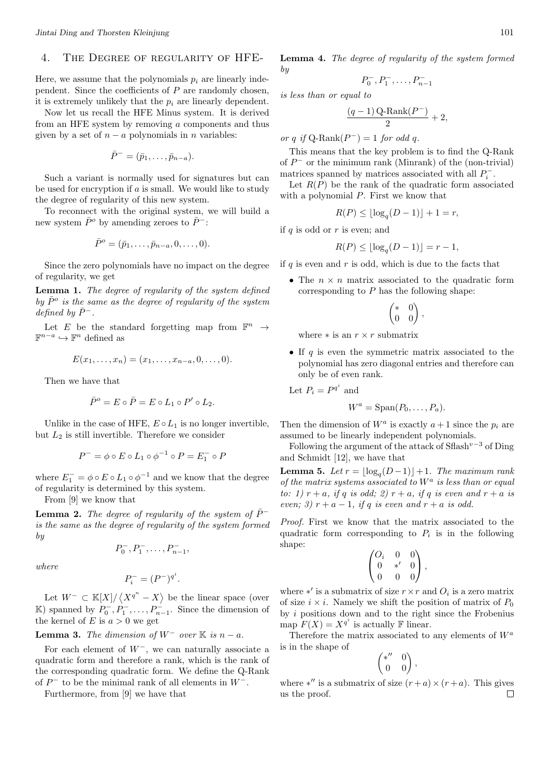# 4. The Degree of regularity of HFE-

Here, we assume that the polynomials  $p_i$  are linearly independent. Since the coefficients of *P* are randomly chosen, it is extremely unlikely that the  $p_i$  are linearly dependent.

Now let us recall the HFE Minus system. It is derived from an HFE system by removing *a* components and thus given by a set of  $n - a$  polynomials in *n* variables:

$$
\bar{P}^- = (\bar{p}_1, \ldots, \bar{p}_{n-a}).
$$

Such a variant is normally used for signatures but can be used for encryption if *a* is small. We would like to study the degree of regularity of this new system.

To reconnect with the original system, we will build a new system  $\bar{P}^o$  by amending zeroes to  $\bar{P}^-$ :

$$
\bar{P}^o = (\bar{p}_1, \dots, \bar{p}_{n-a}, 0, \dots, 0).
$$

Since the zero polynomials have no impact on the degree of regularity, we get

**Lemma 1.** *The degree of regularity of the system defined* by  $\bar{P}^o$  is the same as the degree of regularity of the system  $defined$  *by*  $\bar{P}^-$ *.* 

Let *E* be the standard forgetting map from  $\mathbb{F}^n \to$  $\mathbb{F}^{n-a}$   $\hookrightarrow$   $\mathbb{F}^n$  defined as

$$
E(x_1,...,x_n) = (x_1,...,x_{n-a},0,...,0).
$$

Then we have that

$$
\bar{P}^o = E \circ \bar{P} = E \circ L_1 \circ P' \circ L_2.
$$

Unlike in the case of HFE,  $E \circ L_1$  is no longer invertible, but *L*<sup>2</sup> is still invertible. Therefore we consider

$$
P^- = \phi \circ E \circ L_1 \circ \phi^{-1} \circ P = E_1^- \circ P
$$

where  $E_1^- = \phi \circ E \circ L_1 \circ \phi^{-1}$  and we know that the degree of regularity is determined by this system.

From [9] we know that

**Lemma 2.** *The degree of regularity of the system of*  $\bar{P}$ <sup>−</sup> *is the same as the degree of regularity of the system formed by*

$$
P_0^-, P_1^-, \ldots, P_{n-1}^-,
$$

*where*

$$
P_i^- = (P^-)^{q^i}.
$$

Let  $W^- \subset K[X]/\langle X^{q^n} - X \rangle$  be the linear space (over K) spanned by  $P_0^-, P_1^-, \ldots, P_{n-1}^-.$  Since the dimension of the kernel of *E* is  $a > 0$  we get

# **Lemma 3.** *The dimension of*  $W^-$  *over*  $K$  *is*  $n - a$ *.*

For each element of *W−*, we can naturally associate a quadratic form and therefore a rank, which is the rank of the corresponding quadratic form. We define the Q-Rank of *P <sup>−</sup>* to be the minimal rank of all elements in *W−*.

Furthermore, from [9] we have that

**Lemma 4.** *The degree of regularity of the system formed by*

$$
P_0^-, P_1^-, \ldots, P_{n-1}^-
$$

*is less than or equal to*

$$
\frac{\left(q-1\right) \mathrm{Q-Rank}(P^-)}{2}+2,
$$

 $or q \text{ if } Q\text{-Rank}(P^-) = 1 \text{ for odd } q.$ 

This means that the key problem is to find the Q-Rank of *P <sup>−</sup>* or the minimum rank (Minrank) of the (non-trivial) matrices spanned by matrices associated with all  $P_i^-$ .

Let  $R(P)$  be the rank of the quadratic form associated with a polynomial *P*. First we know that

$$
R(P) \le \lfloor \log_q(D-1) \rfloor + 1 = r,
$$

if *q* is odd or *r* is even; and

$$
R(P) \le \lfloor \log_q(D-1) \rfloor = r - 1,
$$

if *q* is even and *r* is odd, which is due to the facts that

• The  $n \times n$  matrix associated to the quadratic form corresponding to *P* has the following shape:

$$
\begin{pmatrix} * & 0 \\ 0 & 0 \end{pmatrix},
$$

where  $*$  is an  $r \times r$  submatrix

*•* If *q* is even the symmetric matrix associated to the polynomial has zero diagonal entries and therefore can only be of even rank.

Let 
$$
P_i = P^{q^i}
$$
 and

$$
W^a = \mathrm{Span}(P_0, \ldots, P_a).
$$

Then the dimension of  $W^a$  is exactly  $a+1$  since the  $p_i$  are assumed to be linearly independent polynomials.

Following the argument of the attack of Sflash*<sup>v</sup>−*<sup>3</sup> of Ding and Schmidt [12], we have that

**Lemma 5.** *Let*  $r = \lfloor \log_q(D-1) \rfloor + 1$ *. The maximum rank of the matrix systems associated to W<sup>a</sup> is less than or equal to:* 1)  $r + a$ *, if*  $q$  *is odd;* 2)  $r + a$ *, if*  $q$  *is even and*  $r + a$  *is even;* 3)  $r + a - 1$ *, if q is even and*  $r + a$  *is odd.* 

*Proof.* First we know that the matrix associated to the quadratic form corresponding to  $P_i$  is in the following shape:

$$
\begin{pmatrix} O_i & 0 & 0 \\ 0 & *' & 0 \\ 0 & 0 & 0 \end{pmatrix},
$$

where *∗ ′* is a submatrix of size *r×r* and *O<sup>i</sup>* is a zero matrix of size  $i \times i$ . Namely we shift the position of matrix of  $P_0$ by *i* positions down and to the right since the Frobenius map  $F(X) = X^{q^i}$  is actually **F** linear.

Therefore the matrix associated to any elements of *W<sup>a</sup>* is in the shape of

$$
\begin{pmatrix} *'' & 0 \\ 0 & 0 \end{pmatrix},
$$

where  $*''$  is a submatrix of size  $(r+a) \times (r+a)$ . This gives us the proof. $\Box$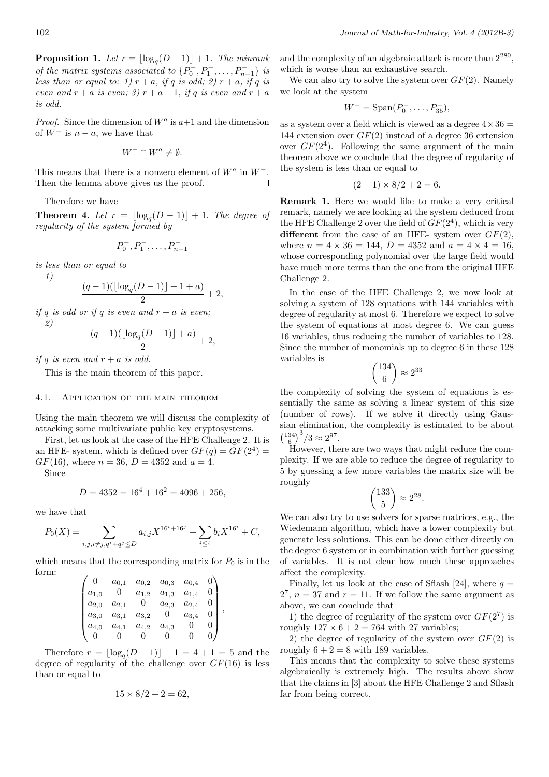**Proposition 1.** Let  $r = \lfloor \log_q(D-1) \rfloor + 1$ . The minrank *of the matrix systems associated to*  $\{P_0^-, P_1^-, \ldots, P_{n-1}^-\}$  *is less than or equal to: 1)*  $r + a$ *, if*  $q$  *is odd; 2)*  $r + a$ *, if*  $q$  *is even and*  $r + a$  *is even;* 3)  $r + a - 1$ *, if q is even and*  $r + a$ *is odd.*

*Proof.* Since the dimension of  $W^a$  is  $a+1$  and the dimension of  $W^-$  is  $n - a$ , we have that

$$
W^- \cap W^a \neq \emptyset.
$$

This means that there is a nonzero element of *W<sup>a</sup>* in *W−*. Then the lemma above gives us the proof.  $\Box$ 

Therefore we have

**Theorem 4.** Let  $r = \lfloor \log_q(D-1) \rfloor + 1$ . The degree of *regularity of the system formed by*

$$
P_0^-, P_1^-, \ldots, P_{n-1}^-
$$

*is less than or equal to*

*1)*

*2)*

$$
\frac{(q-1)(\lfloor \log_q(D-1) \rfloor +1 +a)}{2}+2,
$$

*if q is odd or if q is even and*  $r + a$  *is even;* 

$$
\frac{(q-1)(\lfloor \log_q(D-1) \rfloor +a)}{2} + 2,
$$

*if*  $q$  *is even and*  $r + a$  *is odd.* 

This is the main theorem of this paper.

#### 4.1. Application of the main theorem

Using the main theorem we will discuss the complexity of attacking some multivariate public key cryptosystems.

First, let us look at the case of the HFE Challenge 2. It is an HFE- system, which is defined over  $GF(q) = GF(2^4) =$ *GF*(16), where  $n = 36$ ,  $D = 4352$  and  $a = 4$ .

Since

$$
D = 4352 = 16^4 + 16^2 = 4096 + 256,
$$

we have that

$$
P_0(X) = \sum_{i,j,i \neq j, q^i + q^j \le D} a_{i,j} X^{16^i + 16^j} + \sum_{i \le 4} b_i X^{16^i} + C,
$$

which means that the corresponding matrix for  $P_0$  is in the form:

|           | $a_{0,1}$ | $a_{0,2}$ | $a_{0,3}$ | $a_{0,4}$ |   |   |
|-----------|-----------|-----------|-----------|-----------|---|---|
| $a_{1,0}$ | 0         | $a_{1,2}$ | $a_{1,3}$ | $a_{1,4}$ |   |   |
| $a_{2,0}$ | $a_{2,1}$ | 0         | $a_{2,3}$ | $a_{2,4}$ |   |   |
| $a_{3,0}$ | $a_{3,1}$ | $a_{3,2}$ |           | $a_{3,4}$ | O | , |
| $a_{4,0}$ | $a_{4,1}$ | $a_{4,2}$ | $a_{4,3}$ |           |   |   |
|           |           |           |           |           |   |   |

Therefore  $r = \lfloor \log_q(D-1) \rfloor + 1 = 4 + 1 = 5$  and the degree of regularity of the challenge over *GF*(16) is less than or equal to

$$
15 \times 8/2 + 2 = 62,
$$

and the complexity of an algebraic attack is more than  $2^{280}$ , which is worse than an exhaustive search.

We can also try to solve the system over *GF*(2). Namely we look at the system

$$
W^- = \text{Span}(P_0^-, \dots, P_{35}^{\{-}},
$$

as a system over a field which is viewed as a degree  $4 \times 36 =$ 144 extension over *GF*(2) instead of a degree 36 extension over  $GF(2<sup>4</sup>)$ . Following the same argument of the main theorem above we conclude that the degree of regularity of the system is less than or equal to

$$
(2-1) \times 8/2 + 2 = 6.
$$

**Remark 1.** Here we would like to make a very critical remark, namely we are looking at the system deduced from the HFE Challenge 2 over the field of  $GF(2<sup>4</sup>)$ , which is very **different** from the case of an HFE- system over *GF*(2), where  $n = 4 \times 36 = 144$ ,  $D = 4352$  and  $a = 4 \times 4 = 16$ , whose corresponding polynomial over the large field would have much more terms than the one from the original HFE Challenge 2.

In the case of the HFE Challenge 2, we now look at solving a system of 128 equations with 144 variables with degree of regularity at most 6. Therefore we expect to solve the system of equations at most degree 6. We can guess 16 variables, thus reducing the number of variables to 128. Since the number of monomials up to degree 6 in these 128 variables is

$$
\binom{134}{6} \approx 2^{33}
$$

the complexity of solving the system of equations is essentially the same as solving a linear system of this size (number of rows). If we solve it directly using Gaussian elimination, the complexity is estimated to be about  $\binom{134}{6}^3/3 \approx 2^{97}.$ 

However, there are two ways that might reduce the complexity. If we are able to reduce the degree of regularity to 5 by guessing a few more variables the matrix size will be roughly

$$
\binom{133}{5}\approx 2^{28}.
$$

We can also try to use solvers for sparse matrices, e.g., the Wiedemann algorithm, which have a lower complexity but generate less solutions. This can be done either directly on the degree 6 system or in combination with further guessing of variables. It is not clear how much these approaches affect the complexity.

Finally, let us look at the case of Sflash [24], where  $q =$  $2^7$ ,  $n = 37$  and  $r = 11$ . If we follow the same argument as above, we can conclude that

1) the degree of regularity of the system over  $GF(2^7)$  is roughly  $127 \times 6 + 2 = 764$  with 27 variables;

2) the degree of regularity of the system over *GF*(2) is roughly  $6 + 2 = 8$  with 189 variables.

This means that the complexity to solve these systems algebraically is extremely high. The results above show that the claims in [3] about the HFE Challenge 2 and Sflash far from being correct.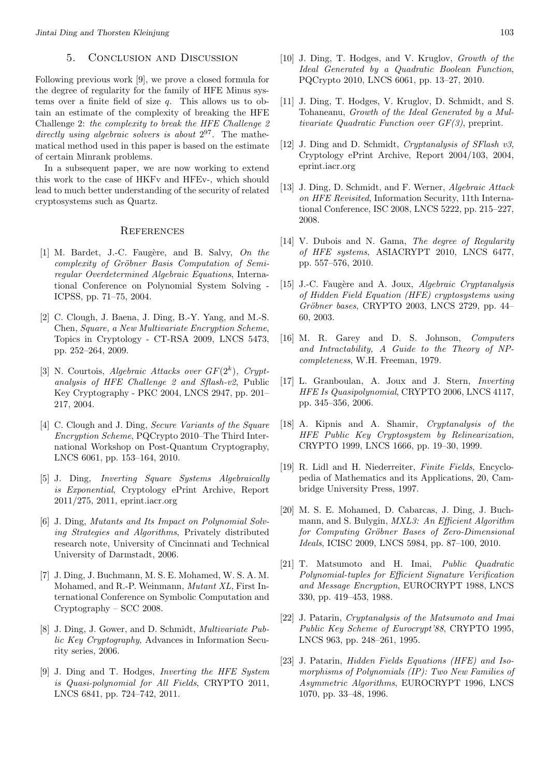# 5. Conclusion and Discussion

Following previous work [9], we prove a closed formula for the degree of regularity for the family of HFE Minus systems over a finite field of size *q*. This allows us to obtain an estimate of the complexity of breaking the HFE Challenge 2: *the complexity to break the HFE Challenge 2* directly using algebraic solvers is about  $2^{97}$ . The mathematical method used in this paper is based on the estimate of certain Minrank problems.

In a subsequent paper, we are now working to extend this work to the case of HKFv and HFEv-, which should lead to much better understanding of the security of related cryptosystems such as Quartz.

# **REFERENCES**

- [1] M. Bardet, J.-C. Faugère, and B. Salvy, *On the complexity of Gröbner Basis Computation of Semiregular Overdetermined Algebraic Equations*, International Conference on Polynomial System Solving - ICPSS, pp. 71–75, 2004.
- [2] C. Clough, J. Baena, J. Ding, B.-Y. Yang, and M.-S. Chen, *Square, a New Multivariate Encryption Scheme*, Topics in Cryptology - CT-RSA 2009, LNCS 5473, pp. 252–264, 2009.
- [3] N. Courtois, *Algebraic Attacks over GF*(2*<sup>k</sup>* )*, Cryptanalysis of HFE Challenge 2 and Sflash-v2*, Public Key Cryptography - PKC 2004, LNCS 2947, pp. 201– 217, 2004.
- [4] C. Clough and J. Ding, *Secure Variants of the Square Encryption Scheme*, PQCrypto 2010–The Third International Workshop on Post-Quantum Cryptography, LNCS 6061, pp. 153–164, 2010.
- [5] J. Ding, *Inverting Square Systems Algebraically is Exponential*, Cryptology ePrint Archive, Report 2011/275, 2011, eprint.iacr.org
- [6] J. Ding, *Mutants and Its Impact on Polynomial Solving Strategies and Algorithms*, Privately distributed research note, University of Cincinnati and Technical University of Darmstadt, 2006.
- [7] J. Ding, J. Buchmann, M. S. E. Mohamed, W. S. A. M. Mohamed, and R.-P. Weinmann, *Mutant XL*, First International Conference on Symbolic Computation and Cryptography – SCC 2008.
- [8] J. Ding, J. Gower, and D. Schmidt, *Multivariate Public Key Cryptography*, Advances in Information Security series, 2006.
- [9] J. Ding and T. Hodges, *Inverting the HFE System is Quasi-polynomial for All Fields*, CRYPTO 2011, LNCS 6841, pp. 724–742, 2011.
- [10] J. Ding, T. Hodges, and V. Kruglov, *Growth of the Ideal Generated by a Quadratic Boolean Function*, PQCrypto 2010, LNCS 6061, pp. 13–27, 2010.
- [11] J. Ding, T. Hodges, V. Kruglov, D. Schmidt, and S. Tohaneanu, *Growth of the Ideal Generated by a Multivariate Quadratic Function over GF(3)*, preprint.
- [12] J. Ding and D. Schmidt, *Cryptanalysis of SFlash v3*, Cryptology ePrint Archive, Report 2004/103, 2004, eprint.iacr.org
- [13] J. Ding, D. Schmidt, and F. Werner, *Algebraic Attack on HFE Revisited*, Information Security, 11th International Conference, ISC 2008, LNCS 5222, pp. 215–227, 2008.
- [14] V. Dubois and N. Gama, *The degree of Regularity of HFE systems*, ASIACRYPT 2010, LNCS 6477, pp. 557–576, 2010.
- [15] J.-C. Faugère and A. Joux, *Algebraic Cryptanalysis of Hidden Field Equation (HFE) cryptosystems using Gröbner bases*, CRYPTO 2003, LNCS 2729, pp. 44– 60, 2003.
- [16] M. R. Garey and D. S. Johnson, *Computers and Intractability, A Guide to the Theory of NPcompleteness*, W.H. Freeman, 1979.
- [17] L. Granboulan, A. Joux and J. Stern, *Inverting HFE Is Quasipolynomial*, CRYPTO 2006, LNCS 4117, pp. 345–356, 2006.
- [18] A. Kipnis and A. Shamir, *Cryptanalysis of the HFE Public Key Cryptosystem by Relinearization*, CRYPTO 1999, LNCS 1666, pp. 19–30, 1999.
- [19] R. Lidl and H. Niederreiter, *Finite Fields*, Encyclopedia of Mathematics and its Applications, 20, Cambridge University Press, 1997.
- [20] M. S. E. Mohamed, D. Cabarcas, J. Ding, J. Buchmann, and S. Bulygin, *MXL3: An Efficient Algorithm for Computing Gr¨obner Bases of Zero-Dimensional Ideals*, ICISC 2009, LNCS 5984, pp. 87–100, 2010.
- [21] T. Matsumoto and H. Imai, *Public Quadratic Polynomial-tuples for Efficient Signature Verification and Message Encryption*, EUROCRYPT 1988, LNCS 330, pp. 419–453, 1988.
- [22] J. Patarin, *Cryptanalysis of the Matsumoto and Imai Public Key Scheme of Eurocrypt'88*, CRYPTO 1995, LNCS 963, pp. 248–261, 1995.
- [23] J. Patarin, *Hidden Fields Equations (HFE) and Isomorphisms of Polynomials (IP): Two New Families of Asymmetric Algorithms*, EUROCRYPT 1996, LNCS 1070, pp. 33–48, 1996.